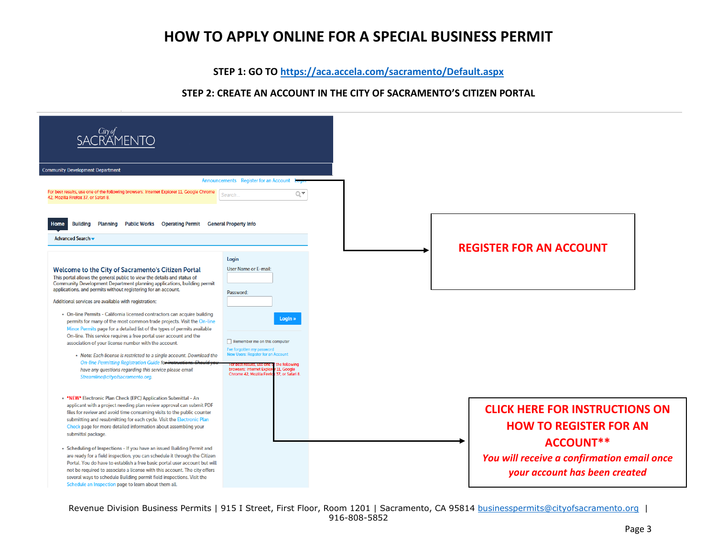# **HOW TO APPLY ONLINE FOR A SPECIAL BUSINESS PERMIT**

**STEP 1: GO TO<https://aca.accela.com/sacramento/Default.aspx>**

## **STEP 2: CREATE AN ACCOUNT IN THE CITY OF SACRAMENTO'S CITIZEN PORTAL**

| SACRAMENTO                                                                                                                                                                                                                                                                                                                                                                                                                                                                                                                                                                                                                                                                                                                                                                                                                                                                                                                                                                                                                                                                                                                                                                                                                              |                                                                                                                                                                                                                                                                                                                                              |                                                                                                                                                                    |  |
|-----------------------------------------------------------------------------------------------------------------------------------------------------------------------------------------------------------------------------------------------------------------------------------------------------------------------------------------------------------------------------------------------------------------------------------------------------------------------------------------------------------------------------------------------------------------------------------------------------------------------------------------------------------------------------------------------------------------------------------------------------------------------------------------------------------------------------------------------------------------------------------------------------------------------------------------------------------------------------------------------------------------------------------------------------------------------------------------------------------------------------------------------------------------------------------------------------------------------------------------|----------------------------------------------------------------------------------------------------------------------------------------------------------------------------------------------------------------------------------------------------------------------------------------------------------------------------------------------|--------------------------------------------------------------------------------------------------------------------------------------------------------------------|--|
| <b>Community Development Department</b><br>For best results, use one of the following browsers: Internet Explorer 11, Google Chrome<br>42, Mozilla Firefox 37, or Safari 8.<br><b>Building</b><br><b>Planning</b><br>Public Works Operating Permit General Property Info<br>Home<br>Advanced Search v<br>Welcome to the City of Sacramento's Citizen Portal<br>This portal allows the general public to view the details and status of<br>Community Development Department planning applications, building permit<br>applications, and permits without registering for an account.<br>Additional services are available with registration:<br>• On-line Permits - California licensed contractors can acquire building<br>permits for many of the most common trade projects. Visit the On-line<br>Minor Permits page for a detailed list of the types of permits available<br>On-line. This service requires a free portal user account and the<br>association of your license number with the account.<br>• Note: Each license is restricted to a single account. Download the<br>On-line Permitting Registration Guide for instruction<br>have any questions regarding this service please email<br>Streamline@cityofsacramento.org. | Announcements Register for an Account<br>QV.<br>Search.<br>Login<br><b>User Name or E-mail:</b><br>Password:<br>Login »<br>Remember me on this computer<br>I've forgotten my password<br><b>New Users: Register for an Account</b><br>the followina<br>browsers: Internet Explorer 11, Google<br>Chrome 42, Mozilla Firefox 37, or Safari 8. | <b>REGISTER FOR AN ACCOUNT</b>                                                                                                                                     |  |
| . *NEW* Electronic Plan Check (EPC) Application Submittal - An<br>applicant with a project needing plan review approval can submit PDF<br>files for review and avoid time consuming visits to the public counter<br>submitting and resubmitting for each cycle. Visit the Electronic Plan<br>Check page for more detailed information about assembling your<br>submittal package.<br>• Scheduling of Inspections - If you have an issued Building Permit and<br>are ready for a field inspection, you can schedule it through the Citizen<br>Portal. You do have to establish a free basic portal user account but will<br>not be required to associate a license with this account. The city offers<br>several ways to schedule Building permit field inspections. Visit the<br>Schedule an Inspection page to learn about them all.                                                                                                                                                                                                                                                                                                                                                                                                   |                                                                                                                                                                                                                                                                                                                                              | <b>CLICK HERE FOR INSTRUCTIONS ON</b><br><b>HOW TO REGISTER FOR AN</b><br>ACCOUNT**<br>You will receive a confirmation email once<br>your account has been created |  |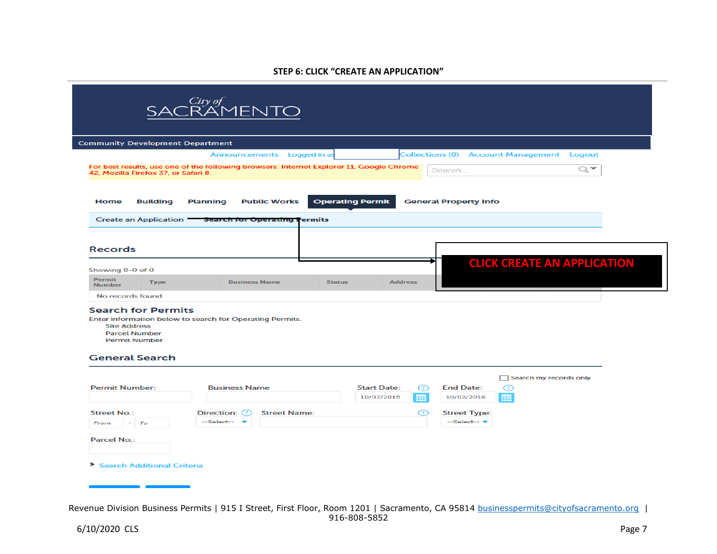### **STEP 6: CLICK "CREATE AN APPLICATION"**

|                                                                                                                           | Announcements Logged in a                                                                |                         |                                                         |                                                  |                                    |
|---------------------------------------------------------------------------------------------------------------------------|------------------------------------------------------------------------------------------|-------------------------|---------------------------------------------------------|--------------------------------------------------|------------------------------------|
| 42, Mozilla Firefox 37, or Safari 8.                                                                                      |                                                                                          |                         |                                                         | <b>Collections (0) Account Management Logout</b> |                                    |
|                                                                                                                           | For best results, use one of the following browsers: Internet Explorer 11, Google Chrome |                         |                                                         | Search                                           | $Q_{\rm c}$                        |
| <b>Home</b><br><b>Building</b><br><b>Create an Application</b>                                                            | <b>Public Works</b><br><b>Planning</b><br><b>Search for Operating Permits</b>            | <b>Operating Permit</b> |                                                         | <b>General Property Info</b>                     |                                    |
| <b>Records</b><br>Showing 0-0 of 0                                                                                        |                                                                                          |                         |                                                         |                                                  | <b>CLICK CREATE AN APPLICATION</b> |
| <b>Permit</b>                                                                                                             |                                                                                          |                         |                                                         |                                                  |                                    |
| <b>Type</b><br><b>Number</b>                                                                                              | <b>Business Name</b>                                                                     | <b>Status</b>           | <b>Address</b>                                          |                                                  |                                    |
| No records found.                                                                                                         |                                                                                          |                         |                                                         |                                                  |                                    |
| <b>Search for Permits</b><br><b>Site Address</b><br><b>Parcel Number</b><br><b>Permit Number</b><br><b>General Search</b> | Enter information below to search for Operating Permits.                                 |                         |                                                         |                                                  |                                    |
|                                                                                                                           |                                                                                          |                         |                                                         |                                                  | Search my records only             |
| <b>Permit Number:</b>                                                                                                     | <b>Business Name</b>                                                                     |                         | <b>Start Date:</b><br>œ<br>10/07/2015<br>$\overline{H}$ | <b>End Date:</b><br>Ø<br>10/03/2018<br>ᆵ         |                                    |
| <b>Street No.:</b>                                                                                                        | <b>Street Name:</b><br>Direction: (?)                                                    |                         | ⊘                                                       | <b>Street Type:</b>                              |                                    |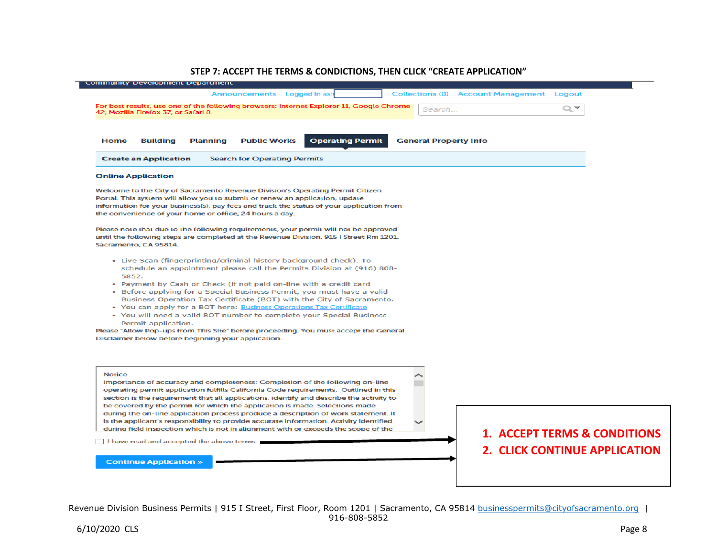#### **STEP 7: ACCEPT THE TERMS & CONDICTIONS, THEN CLICK "CREATE APPLICATION"**

| Announcements Logged in as:                                                                                                                                                                                                                                                                                                                                                                                                                                                                                                                                                                                                                                                                         | <b>Collections (0) Account Management Logout</b>                                |  |
|-----------------------------------------------------------------------------------------------------------------------------------------------------------------------------------------------------------------------------------------------------------------------------------------------------------------------------------------------------------------------------------------------------------------------------------------------------------------------------------------------------------------------------------------------------------------------------------------------------------------------------------------------------------------------------------------------------|---------------------------------------------------------------------------------|--|
| For best results, use one of the following browsers: Internet Explorer 11, Google Chrome<br>42, Mozilla Firefox 37, or Safari 8.                                                                                                                                                                                                                                                                                                                                                                                                                                                                                                                                                                    | Search                                                                          |  |
| <b>Public Works</b><br><b>Operating Permit</b><br><b>Home</b><br><b>Building</b><br><b>Planning</b>                                                                                                                                                                                                                                                                                                                                                                                                                                                                                                                                                                                                 | <b>General Property Info</b>                                                    |  |
| <b>Create an Application</b><br><b>Search for Operating Permits</b>                                                                                                                                                                                                                                                                                                                                                                                                                                                                                                                                                                                                                                 |                                                                                 |  |
| <b>Online Application</b>                                                                                                                                                                                                                                                                                                                                                                                                                                                                                                                                                                                                                                                                           |                                                                                 |  |
| Welcome to the City of Sacramento Revenue Division's Operating Permit Citizen<br>Portal. This system will allow you to submit or renew an application, update<br>information for your business(s), pay fees and track the status of your application from<br>the convenience of your home or office, 24 hours a day.                                                                                                                                                                                                                                                                                                                                                                                |                                                                                 |  |
| Please note that due to the following requirements, your permit will not be approved<br>until the following steps are completed at the Revenue Division, 915 I Street Rm 1201,<br>Sacramento, CA 95814.                                                                                                                                                                                                                                                                                                                                                                                                                                                                                             |                                                                                 |  |
| • Live Scan (fingerprinting/criminal history background check). To<br>schedule an appointment please call the Permits Division at (916) 808-<br>5852.<br>. Payment by Cash or Check (if not paid on-line with a credit card<br>• Before applying for a Special Business Permit, you must have a valid<br>Business Operation Tax Certificate (BOT) with the City of Sacramento.<br>• You can apply for a BOT here: Business Operations Tax Certificate<br>• You will need a valid BOT number to complete your Special Business<br>Permit application.<br>Please "Allow Pop-ups from This Site" before proceeding. You must accept the General<br>Disclaimer below before beginning your application. |                                                                                 |  |
| <b>Notice</b><br>Importance of accuracy and completeness: Completion of the following on-line<br>operating permit application fulfills California Code requirements. Outlined in this<br>section is the requirement that all applications, identify and describe the activity to<br>be covered by the permit for which the application is made. Selections made<br>during the on-line application process produce a description of work statement. It<br>is the applicant's responsibility to provide accurate information. Activity identified                                                                                                                                                     |                                                                                 |  |
| during field inspection which is not in alignment with or exceeds the scope of the<br>I have read and accepted the above terms.<br><b>Continue Application »</b>                                                                                                                                                                                                                                                                                                                                                                                                                                                                                                                                    | <b>1. ACCEPT TERMS &amp; CONDITIONS</b><br><b>2. CLICK CONTINUE APPLICATION</b> |  |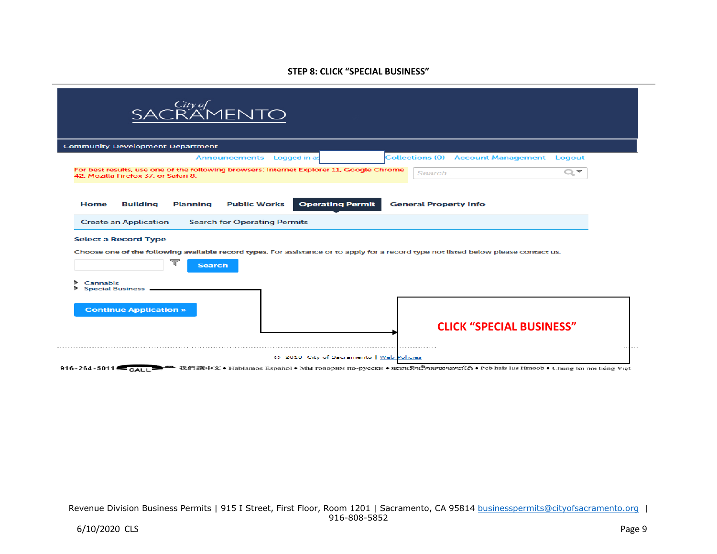### **STEP 8: CLICK "SPECIAL BUSINESS"**

| SACRAMENTO                                                                                                                                                                                                                         |                                                  |
|------------------------------------------------------------------------------------------------------------------------------------------------------------------------------------------------------------------------------------|--------------------------------------------------|
| <b>Community Development Department</b>                                                                                                                                                                                            |                                                  |
| Announcements Logged in as                                                                                                                                                                                                         | <b>Collections (0) Account Management Logout</b> |
| For best results, use one of the following browsers: Internet Explorer 11, Google Chrome<br>42. Mozilla Firefox 37, or Safari 8.                                                                                                   | $Q_{\rm c}$<br>Search                            |
| <b>Operating Permit</b><br><b>Planning</b><br><b>Public Works</b><br><b>Home</b><br><b>Building</b>                                                                                                                                | <b>General Property Info</b>                     |
| <b>Create an Application</b><br><b>Search for Operating Permits</b>                                                                                                                                                                |                                                  |
| <b>Select a Record Type</b><br>Choose one of the following available record types. For assistance or to apply for a record type not listed below please contact us.<br><b>Search</b><br><b>Cannabis</b><br><b>Special Business</b> |                                                  |
| <b>Continue Application »</b>                                                                                                                                                                                                      | <b>CLICK "SPECIAL BUSINESS"</b>                  |
| @ 2018 City of Sacramento   Web Policies                                                                                                                                                                                           |                                                  |